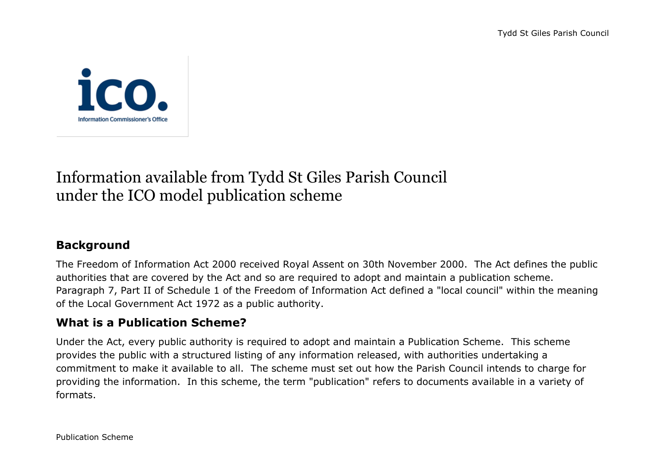

# Information available from Tydd St Giles Parish Council under the ICO model publication scheme

# **Background**

The Freedom of Information Act 2000 received Royal Assent on 30th November 2000. The Act defines the public authorities that are covered by the Act and so are required to adopt and maintain a publication scheme. Paragraph 7, Part II of Schedule 1 of the Freedom of Information Act defined a "local council" within the meaning of the Local Government Act 1972 as a public authority.

## **What is a Publication Scheme?**

Under the Act, every public authority is required to adopt and maintain a Publication Scheme. This scheme provides the public with a structured listing of any information released, with authorities undertaking a commitment to make it available to all. The scheme must set out how the Parish Council intends to charge for providing the information. In this scheme, the term "publication" refers to documents available in a variety of formats.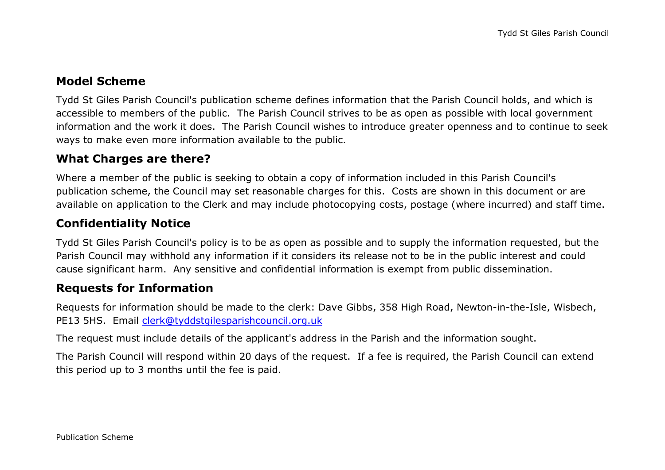#### **Model Scheme**

Tydd St Giles Parish Council's publication scheme defines information that the Parish Council holds, and which is accessible to members of the public. The Parish Council strives to be as open as possible with local government information and the work it does. The Parish Council wishes to introduce greater openness and to continue to seek ways to make even more information available to the public.

#### **What Charges are there?**

Where a member of the public is seeking to obtain a copy of information included in this Parish Council's publication scheme, the Council may set reasonable charges for this. Costs are shown in this document or are available on application to the Clerk and may include photocopying costs, postage (where incurred) and staff time.

### **Confidentiality Notice**

Tydd St Giles Parish Council's policy is to be as open as possible and to supply the information requested, but the Parish Council may withhold any information if it considers its release not to be in the public interest and could cause significant harm. Any sensitive and confidential information is exempt from public dissemination.

#### **Requests for Information**

Requests for information should be made to the clerk: Dave Gibbs, 358 High Road, Newton-in-the-Isle, Wisbech, PE13 5HS. Email [clerk@tyddstgilesparishcouncil.org.uk](mailto:clerk@tyddstgilesparishcouncil.org.uk)

The request must include details of the applicant's address in the Parish and the information sought.

The Parish Council will respond within 20 days of the request. If a fee is required, the Parish Council can extend this period up to 3 months until the fee is paid.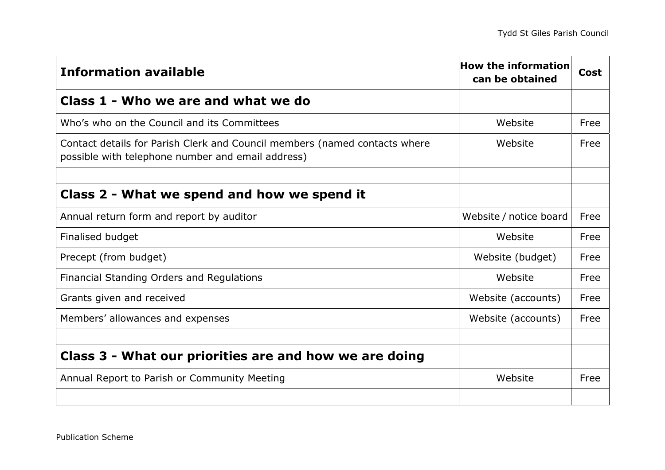| <b>Information available</b>                                                                                                    | <b>How the information</b><br>can be obtained | Cost |
|---------------------------------------------------------------------------------------------------------------------------------|-----------------------------------------------|------|
| Class 1 - Who we are and what we do                                                                                             |                                               |      |
| Who's who on the Council and its Committees                                                                                     | Website                                       | Free |
| Contact details for Parish Clerk and Council members (named contacts where<br>possible with telephone number and email address) | Website                                       | Free |
|                                                                                                                                 |                                               |      |
| Class 2 - What we spend and how we spend it                                                                                     |                                               |      |
| Annual return form and report by auditor                                                                                        | Website / notice board                        | Free |
| Finalised budget                                                                                                                | Website                                       | Free |
| Precept (from budget)                                                                                                           | Website (budget)                              | Free |
| Financial Standing Orders and Regulations                                                                                       | Website                                       | Free |
| Grants given and received                                                                                                       | Website (accounts)                            | Free |
| Members' allowances and expenses                                                                                                | Website (accounts)                            | Free |
|                                                                                                                                 |                                               |      |
| Class 3 - What our priorities are and how we are doing                                                                          |                                               |      |
| Annual Report to Parish or Community Meeting                                                                                    | Website                                       | Free |
|                                                                                                                                 |                                               |      |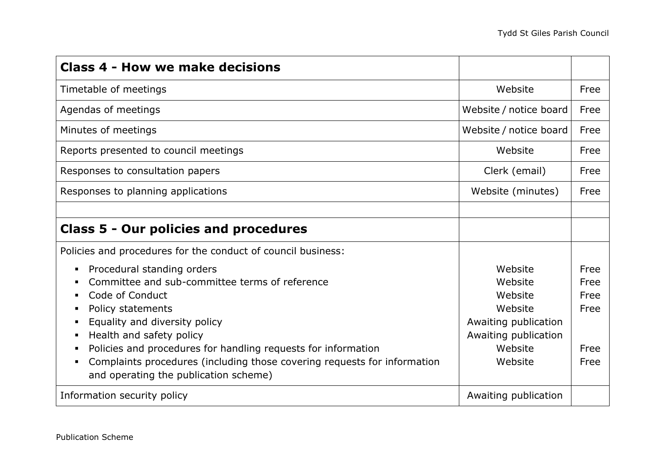| <b>Class 4 - How we make decisions</b>                                                                                                                                                                                                                                                                                                                                                  |                                                                                                                |                                              |
|-----------------------------------------------------------------------------------------------------------------------------------------------------------------------------------------------------------------------------------------------------------------------------------------------------------------------------------------------------------------------------------------|----------------------------------------------------------------------------------------------------------------|----------------------------------------------|
| Timetable of meetings                                                                                                                                                                                                                                                                                                                                                                   | Website                                                                                                        | Free                                         |
| Agendas of meetings                                                                                                                                                                                                                                                                                                                                                                     | Website / notice board                                                                                         | Free                                         |
| Minutes of meetings                                                                                                                                                                                                                                                                                                                                                                     | Website / notice board                                                                                         | Free                                         |
| Reports presented to council meetings                                                                                                                                                                                                                                                                                                                                                   | Website                                                                                                        | Free                                         |
| Responses to consultation papers                                                                                                                                                                                                                                                                                                                                                        | Clerk (email)                                                                                                  | Free                                         |
| Responses to planning applications                                                                                                                                                                                                                                                                                                                                                      | Website (minutes)                                                                                              | Free                                         |
|                                                                                                                                                                                                                                                                                                                                                                                         |                                                                                                                |                                              |
| <b>Class 5 - Our policies and procedures</b>                                                                                                                                                                                                                                                                                                                                            |                                                                                                                |                                              |
| Policies and procedures for the conduct of council business:                                                                                                                                                                                                                                                                                                                            |                                                                                                                |                                              |
| Procedural standing orders<br>٠.<br>Committee and sub-committee terms of reference<br>Code of Conduct<br>Policy statements<br>Equality and diversity policy<br>п<br>Health and safety policy<br>Policies and procedures for handling requests for information<br>Complaints procedures (including those covering requests for information<br>ш<br>and operating the publication scheme) | Website<br>Website<br>Website<br>Website<br>Awaiting publication<br>Awaiting publication<br>Website<br>Website | Free<br>Free<br>Free<br>Free<br>Free<br>Free |
| Information security policy                                                                                                                                                                                                                                                                                                                                                             | Awaiting publication                                                                                           |                                              |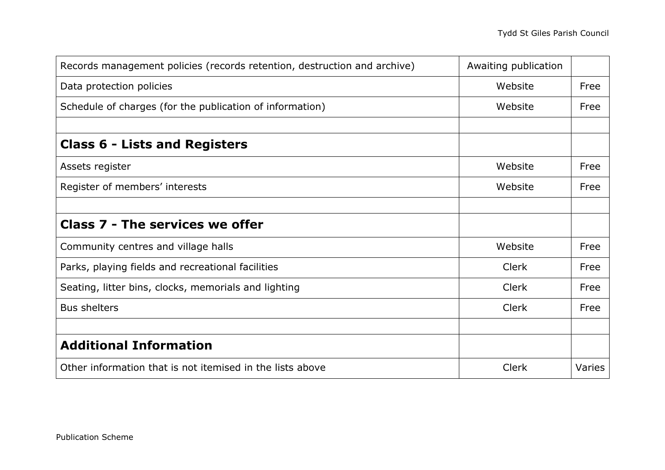| Records management policies (records retention, destruction and archive) | Awaiting publication |        |
|--------------------------------------------------------------------------|----------------------|--------|
| Data protection policies                                                 | Website              | Free   |
| Schedule of charges (for the publication of information)                 | Website              | Free   |
|                                                                          |                      |        |
| <b>Class 6 - Lists and Registers</b>                                     |                      |        |
| Assets register                                                          | Website              | Free   |
| Register of members' interests                                           | Website              | Free   |
|                                                                          |                      |        |
| <b>Class 7 - The services we offer</b>                                   |                      |        |
| Community centres and village halls                                      | Website              | Free   |
| Parks, playing fields and recreational facilities                        | <b>Clerk</b>         | Free   |
| Seating, litter bins, clocks, memorials and lighting                     | <b>Clerk</b>         | Free   |
| <b>Bus shelters</b>                                                      | Clerk                | Free   |
|                                                                          |                      |        |
| <b>Additional Information</b>                                            |                      |        |
| Other information that is not itemised in the lists above                | Clerk                | Varies |